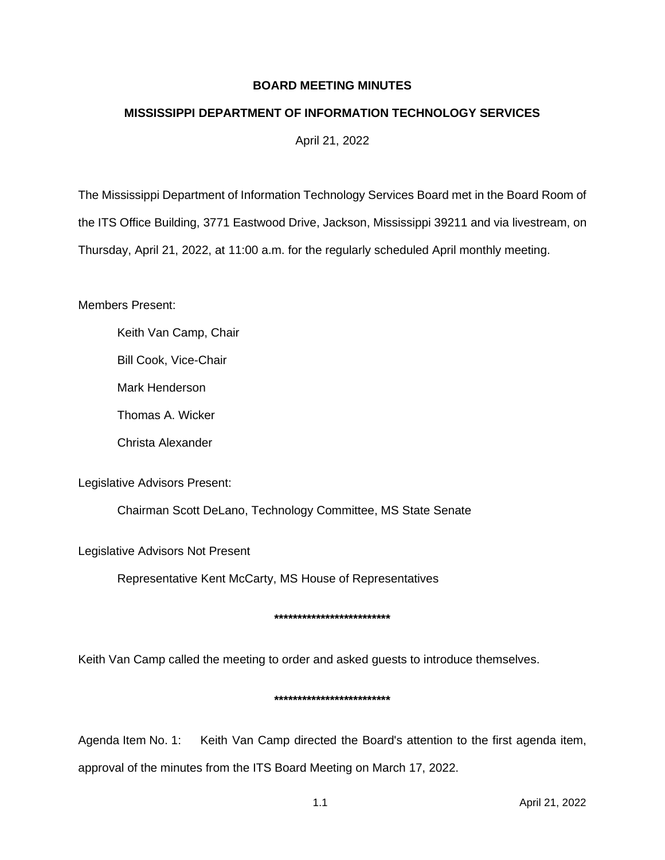# **BOARD MEETING MINUTES**

# **MISSISSIPPI DEPARTMENT OF INFORMATION TECHNOLOGY SERVICES**

April 21, 2022

The Mississippi Department of Information Technology Services Board met in the Board Room of the ITS Office Building, 3771 Eastwood Drive, Jackson, Mississippi 39211 and via livestream, on Thursday, April 21, 2022, at 11:00 a.m. for the regularly scheduled April monthly meeting.

Members Present:

Keith Van Camp, Chair

Bill Cook, Vice-Chair

Mark Henderson

Thomas A. Wicker

Christa Alexander

Legislative Advisors Present:

Chairman Scott DeLano, Technology Committee, MS State Senate

Legislative Advisors Not Present

Representative Kent McCarty, MS House of Representatives

## **\*\*\*\*\*\*\*\*\*\*\*\*\*\*\*\*\*\*\*\*\*\*\*\*\***

Keith Van Camp called the meeting to order and asked guests to introduce themselves.

## **\*\*\*\*\*\*\*\*\*\*\*\*\*\*\*\*\*\*\*\*\*\*\*\*\***

Agenda Item No. 1: Keith Van Camp directed the Board's attention to the first agenda item, approval of the minutes from the ITS Board Meeting on March 17, 2022.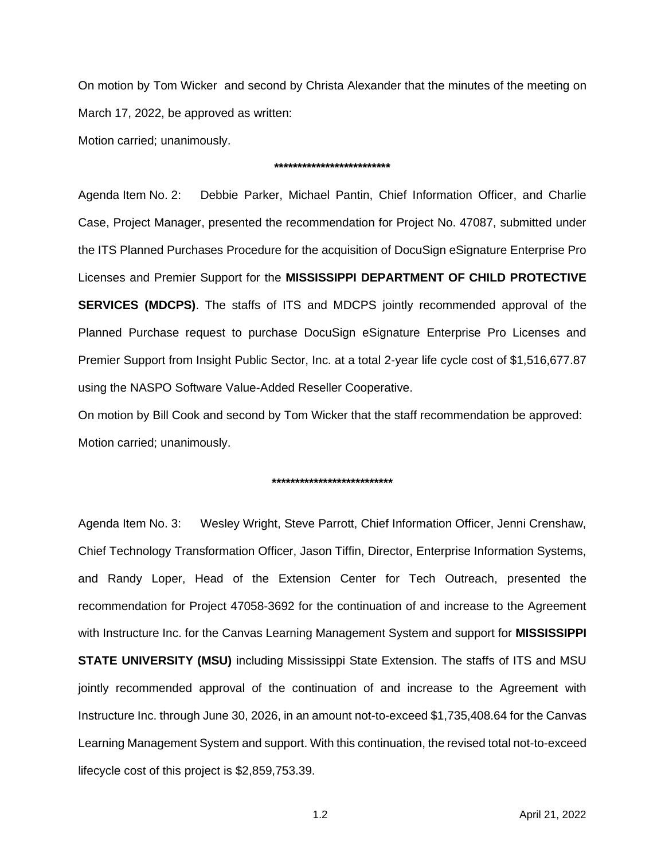On motion by Tom Wicker and second by Christa Alexander that the minutes of the meeting on March 17, 2022, be approved as written:

Motion carried; unanimously.

### **\*\*\*\*\*\*\*\*\*\*\*\*\*\*\*\*\*\*\*\*\*\*\*\*\***

Agenda Item No. 2: Debbie Parker, Michael Pantin, Chief Information Officer, and Charlie Case, Project Manager, presented the recommendation for Project No. 47087, submitted under the ITS Planned Purchases Procedure for the acquisition of DocuSign eSignature Enterprise Pro Licenses and Premier Support for the **MISSISSIPPI DEPARTMENT OF CHILD PROTECTIVE SERVICES (MDCPS)**. The staffs of ITS and MDCPS jointly recommended approval of the Planned Purchase request to purchase DocuSign eSignature Enterprise Pro Licenses and Premier Support from Insight Public Sector, Inc. at a total 2-year life cycle cost of \$1,516,677.87 using the NASPO Software Value-Added Reseller Cooperative.

On motion by Bill Cook and second by Tom Wicker that the staff recommendation be approved: Motion carried; unanimously.

### **\*\*\*\*\*\*\*\*\*\*\*\*\*\*\*\*\*\*\*\*\*\*\*\*\*\***

Agenda Item No. 3: Wesley Wright, Steve Parrott, Chief Information Officer, Jenni Crenshaw, Chief Technology Transformation Officer, Jason Tiffin, Director, Enterprise Information Systems, and Randy Loper, Head of the Extension Center for Tech Outreach, presented the recommendation for Project 47058-3692 for the continuation of and increase to the Agreement with Instructure Inc. for the Canvas Learning Management System and support for **MISSISSIPPI STATE UNIVERSITY (MSU)** including Mississippi State Extension. The staffs of ITS and MSU jointly recommended approval of the continuation of and increase to the Agreement with Instructure Inc. through June 30, 2026, in an amount not-to-exceed \$1,735,408.64 for the Canvas Learning Management System and support. With this continuation, the revised total not-to-exceed lifecycle cost of this project is \$2,859,753.39.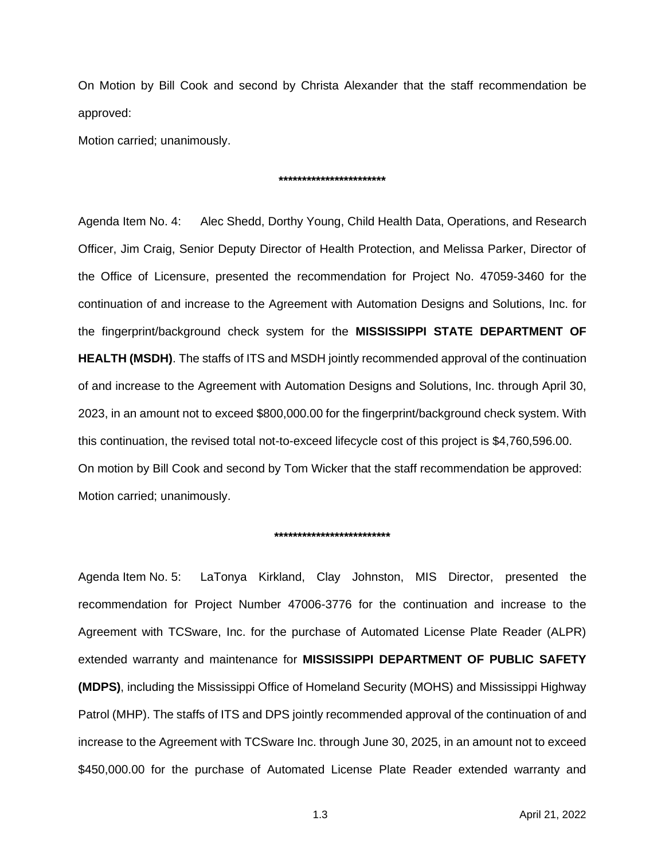On Motion by Bill Cook and second by Christa Alexander that the staff recommendation be approved:

Motion carried; unanimously.

#### **\*\*\*\*\*\*\*\*\*\*\*\*\*\*\*\*\*\*\*\*\*\*\***

Agenda Item No. 4: Alec Shedd, Dorthy Young, Child Health Data, Operations, and Research Officer, Jim Craig, Senior Deputy Director of Health Protection, and Melissa Parker, Director of the Office of Licensure, presented the recommendation for Project No. 47059-3460 for the continuation of and increase to the Agreement with Automation Designs and Solutions, Inc. for the fingerprint/background check system for the **MISSISSIPPI STATE DEPARTMENT OF HEALTH (MSDH)**. The staffs of ITS and MSDH jointly recommended approval of the continuation of and increase to the Agreement with Automation Designs and Solutions, Inc. through April 30, 2023, in an amount not to exceed \$800,000.00 for the fingerprint/background check system. With this continuation, the revised total not-to-exceed lifecycle cost of this project is \$4,760,596.00. On motion by Bill Cook and second by Tom Wicker that the staff recommendation be approved: Motion carried; unanimously.

#### **\*\*\*\*\*\*\*\*\*\*\*\*\*\*\*\*\*\*\*\*\*\*\*\*\***

Agenda Item No. 5: LaTonya Kirkland, Clay Johnston, MIS Director, presented the recommendation for Project Number 47006-3776 for the continuation and increase to the Agreement with TCSware, Inc. for the purchase of Automated License Plate Reader (ALPR) extended warranty and maintenance for **MISSISSIPPI DEPARTMENT OF PUBLIC SAFETY (MDPS)**, including the Mississippi Office of Homeland Security (MOHS) and Mississippi Highway Patrol (MHP). The staffs of ITS and DPS jointly recommended approval of the continuation of and increase to the Agreement with TCSware Inc. through June 30, 2025, in an amount not to exceed \$450,000.00 for the purchase of Automated License Plate Reader extended warranty and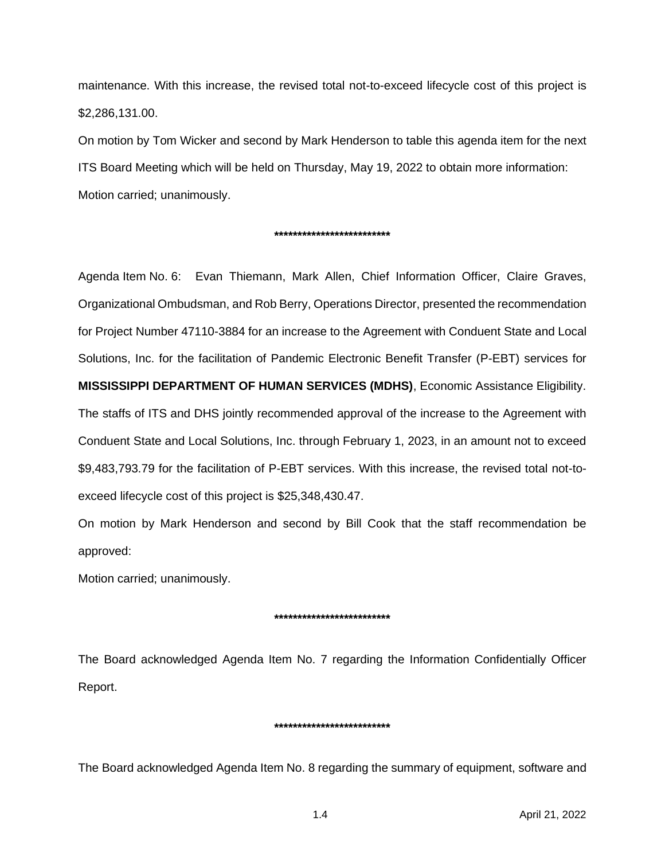maintenance. With this increase, the revised total not-to-exceed lifecycle cost of this project is \$2,286,131.00.

On motion by Tom Wicker and second by Mark Henderson to table this agenda item for the next ITS Board Meeting which will be held on Thursday, May 19, 2022 to obtain more information: Motion carried; unanimously.

### **\*\*\*\*\*\*\*\*\*\*\*\*\*\*\*\*\*\*\*\*\*\*\*\*\***

Agenda Item No. 6: Evan Thiemann, Mark Allen, Chief Information Officer, Claire Graves, Organizational Ombudsman, and Rob Berry, Operations Director, presented the recommendation for Project Number 47110-3884 for an increase to the Agreement with Conduent State and Local Solutions, Inc. for the facilitation of Pandemic Electronic Benefit Transfer (P-EBT) services for **MISSISSIPPI DEPARTMENT OF HUMAN SERVICES (MDHS)**, Economic Assistance Eligibility. The staffs of ITS and DHS jointly recommended approval of the increase to the Agreement with Conduent State and Local Solutions, Inc. through February 1, 2023, in an amount not to exceed \$9,483,793.79 for the facilitation of P-EBT services. With this increase, the revised total not-toexceed lifecycle cost of this project is \$25,348,430.47.

On motion by Mark Henderson and second by Bill Cook that the staff recommendation be approved:

Motion carried; unanimously.

# **\*\*\*\*\*\*\*\*\*\*\*\*\*\*\*\*\*\*\*\*\*\*\*\*\***

The Board acknowledged Agenda Item No. 7 regarding the Information Confidentially Officer Report.

## **\*\*\*\*\*\*\*\*\*\*\*\*\*\*\*\*\*\*\*\*\*\*\*\*\***

The Board acknowledged Agenda Item No. 8 regarding the summary of equipment, software and